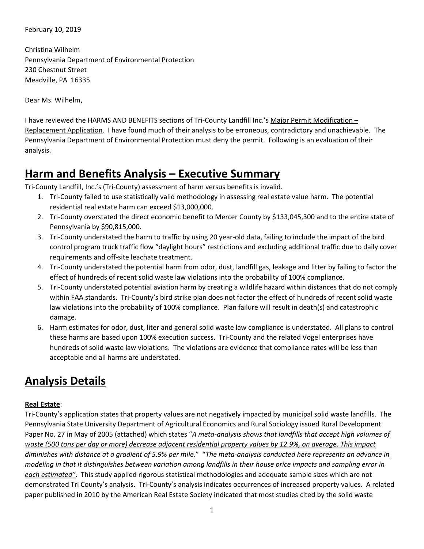February 10, 2019

Christina Wilhelm Pennsylvania Department of Environmental Protection 230 Chestnut Street Meadville, PA 16335

Dear Ms. Wilhelm,

I have reviewed the HARMS AND BENEFITS sections of Tri-County Landfill Inc.'s Major Permit Modification – Replacement Application. I have found much of their analysis to be erroneous, contradictory and unachievable. The Pennsylvania Department of Environmental Protection must deny the permit. Following is an evaluation of their analysis.

## **Harm and Benefits Analysis – Executive Summary**

Tri-County Landfill, Inc.'s (Tri-County) assessment of harm versus benefits is invalid.

- 1. Tri-County failed to use statistically valid methodology in assessing real estate value harm. The potential residential real estate harm can exceed \$13,000,000.
- 2. Tri-County overstated the direct economic benefit to Mercer County by \$133,045,300 and to the entire state of Pennsylvania by \$90,815,000.
- 3. Tri-County understated the harm to traffic by using 20 year-old data, failing to include the impact of the bird control program truck traffic flow "daylight hours" restrictions and excluding additional traffic due to daily cover requirements and off-site leachate treatment.
- 4. Tri-County understated the potential harm from odor, dust, landfill gas, leakage and litter by failing to factor the effect of hundreds of recent solid waste law violations into the probability of 100% compliance.
- 5. Tri-County understated potential aviation harm by creating a wildlife hazard within distances that do not comply within FAA standards. Tri-County's bird strike plan does not factor the effect of hundreds of recent solid waste law violations into the probability of 100% compliance. Plan failure will result in death(s) and catastrophic damage.
- 6. Harm estimates for odor, dust, liter and general solid waste law compliance is understated. All plans to control these harms are based upon 100% execution success. Tri-County and the related Vogel enterprises have hundreds of solid waste law violations. The violations are evidence that compliance rates will be less than acceptable and all harms are understated.

# **Analysis Details**

### **Real Estate**:

Tri-County's application states that property values are not negatively impacted by municipal solid waste landfills. The Pennsylvania State University Department of Agricultural Economics and Rural Sociology issued Rural Development Paper No. 27 in May of 2005 (attached) which states "*A meta-analysis shows that landfills that accept high volumes of waste (500 tons per day or more) decrease adjacent residential property values by 12.9%, on average. This impact diminishes with distance at a gradient of 5.9% per mile*." "*The meta-analysis conducted here represents an advance in modeling in that it distinguishes between variation among landfills in their house price impacts and sampling error in each estimated"*. This study applied rigorous statistical methodologies and adequate sample sizes which are not demonstrated Tri County's analysis. Tri-County's analysis indicates occurrences of increased property values. A related paper published in 2010 by the American Real Estate Society indicated that most studies cited by the solid waste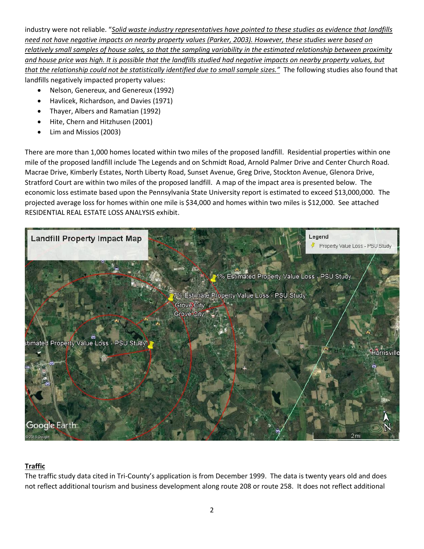industry were not reliable. "*Solid waste industry representatives have pointed to these studies as evidence that landfills need not have negative impacts on nearby property values (Parker, 2003). However, these studies were based on relatively small samples of house sales, so that the sampling variability in the estimated relationship between proximity and house price was high. It is possible that the landfills studied had negative impacts on nearby property values, but that the relationship could not be statistically identified due to small sample sizes."* The following studies also found that landfills negatively impacted property values:

- Nelson, Genereux, and Genereux (1992)
- Havlicek, Richardson, and Davies (1971)
- Thayer, Albers and Ramatian (1992)
- Hite, Chern and Hitzhusen (2001)
- Lim and Missios (2003)

There are more than 1,000 homes located within two miles of the proposed landfill. Residential properties within one mile of the proposed landfill include The Legends and on Schmidt Road, Arnold Palmer Drive and Center Church Road. Macrae Drive, Kimberly Estates, North Liberty Road, Sunset Avenue, Greg Drive, Stockton Avenue, Glenora Drive, Stratford Court are within two miles of the proposed landfill. A map of the impact area is presented below. The economic loss estimate based upon the Pennsylvania State University report is estimated to exceed \$13,000,000. The projected average loss for homes within one mile is \$34,000 and homes within two miles is \$12,000. See attached RESIDENTIAL REAL ESTATE LOSS ANALYSIS exhibit.



#### **Traffic**

The traffic study data cited in Tri-County's application is from December 1999. The data is twenty years old and does not reflect additional tourism and business development along route 208 or route 258. It does not reflect additional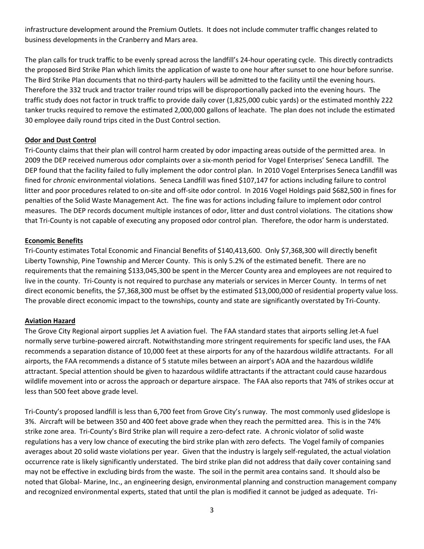infrastructure development around the Premium Outlets. It does not include commuter traffic changes related to business developments in the Cranberry and Mars area.

The plan calls for truck traffic to be evenly spread across the landfill's 24-hour operating cycle. This directly contradicts the proposed Bird Strike Plan which limits the application of waste to one hour after sunset to one hour before sunrise. The Bird Strike Plan documents that no third-party haulers will be admitted to the facility until the evening hours. Therefore the 332 truck and tractor trailer round trips will be disproportionally packed into the evening hours. The traffic study does not factor in truck traffic to provide daily cover (1,825,000 cubic yards) or the estimated monthly 222 tanker trucks required to remove the estimated 2,000,000 gallons of leachate. The plan does not include the estimated 30 employee daily round trips cited in the Dust Control section.

#### **Odor and Dust Control**

Tri-County claims that their plan will control harm created by odor impacting areas outside of the permitted area. In 2009 the DEP received numerous odor complaints over a six-month period for Vogel Enterprises' Seneca Landfill. The DEP found that the facility failed to fully implement the odor control plan. In 2010 Vogel Enterprises Seneca Landfill was fined for *chronic* environmental violations. Seneca Landfill was fined \$107,147 for actions including failure to control litter and poor procedures related to on-site and off-site odor control. In 2016 Vogel Holdings paid \$682,500 in fines for penalties of the Solid Waste Management Act. The fine was for actions including failure to implement odor control measures. The DEP records document multiple instances of odor, litter and dust control violations. The citations show that Tri-County is not capable of executing any proposed odor control plan. Therefore, the odor harm is understated.

#### **Economic Benefits**

Tri-County estimates Total Economic and Financial Benefits of \$140,413,600. Only \$7,368,300 will directly benefit Liberty Township, Pine Township and Mercer County. This is only 5.2% of the estimated benefit. There are no requirements that the remaining \$133,045,300 be spent in the Mercer County area and employees are not required to live in the county. Tri-County is not required to purchase any materials or services in Mercer County. In terms of net direct economic benefits, the \$7,368,300 must be offset by the estimated \$13,000,000 of residential property value loss. The provable direct economic impact to the townships, county and state are significantly overstated by Tri-County.

#### **Aviation Hazard**

The Grove City Regional airport supplies Jet A aviation fuel. The FAA standard states that airports selling Jet-A fuel normally serve turbine-powered aircraft. Notwithstanding more stringent requirements for specific land uses, the FAA recommends a separation distance of 10,000 feet at these airports for any of the hazardous wildlife attractants. For all airports, the FAA recommends a distance of 5 statute miles between an airport's AOA and the hazardous wildlife attractant. Special attention should be given to hazardous wildlife attractants if the attractant could cause hazardous wildlife movement into or across the approach or departure airspace. The FAA also reports that 74% of strikes occur at less than 500 feet above grade level.

Tri-County's proposed landfill is less than 6,700 feet from Grove City's runway. The most commonly used glideslope is 3%. Aircraft will be between 350 and 400 feet above grade when they reach the permitted area. This is in the 74% strike zone area. Tri-County's Bird Strike plan will require a zero-defect rate. A chronic violator of solid waste regulations has a very low chance of executing the bird strike plan with zero defects. The Vogel family of companies averages about 20 solid waste violations per year. Given that the industry is largely self-regulated, the actual violation occurrence rate is likely significantly understated. The bird strike plan did not address that daily cover containing sand may not be effective in excluding birds from the waste. The soil in the permit area contains sand. It should also be noted that Global- Marine, Inc., an engineering design, environmental planning and construction management company and recognized environmental experts, stated that until the plan is modified it cannot be judged as adequate. Tri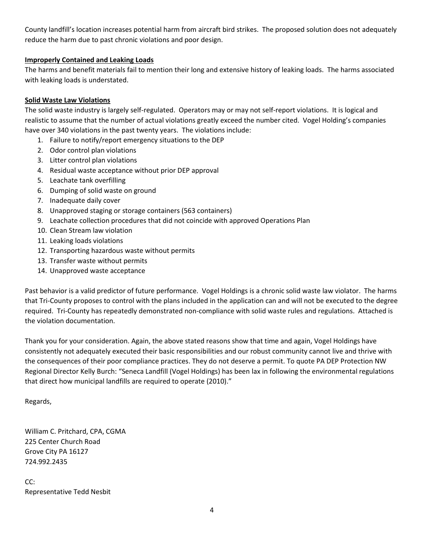County landfill's location increases potential harm from aircraft bird strikes. The proposed solution does not adequately reduce the harm due to past chronic violations and poor design.

#### **Improperly Contained and Leaking Loads**

The harms and benefit materials fail to mention their long and extensive history of leaking loads. The harms associated with leaking loads is understated.

#### **Solid Waste Law Violations**

The solid waste industry is largely self-regulated. Operators may or may not self-report violations. It is logical and realistic to assume that the number of actual violations greatly exceed the number cited. Vogel Holding's companies have over 340 violations in the past twenty years. The violations include:

- 1. Failure to notify/report emergency situations to the DEP
- 2. Odor control plan violations
- 3. Litter control plan violations
- 4. Residual waste acceptance without prior DEP approval
- 5. Leachate tank overfilling
- 6. Dumping of solid waste on ground
- 7. Inadequate daily cover
- 8. Unapproved staging or storage containers (563 containers)
- 9. Leachate collection procedures that did not coincide with approved Operations Plan
- 10. Clean Stream law violation
- 11. Leaking loads violations
- 12. Transporting hazardous waste without permits
- 13. Transfer waste without permits
- 14. Unapproved waste acceptance

Past behavior is a valid predictor of future performance. Vogel Holdings is a chronic solid waste law violator. The harms that Tri-County proposes to control with the plans included in the application can and will not be executed to the degree required. Tri-County has repeatedly demonstrated non-compliance with solid waste rules and regulations. Attached is the violation documentation.

Thank you for your consideration. Again, the above stated reasons show that time and again, Vogel Holdings have consistently not adequately executed their basic responsibilities and our robust community cannot live and thrive with the consequences of their poor compliance practices. They do not deserve a permit. To quote PA DEP Protection NW Regional Director Kelly Burch: "Seneca Landfill (Vogel Holdings) has been lax in following the environmental regulations that direct how municipal landfills are required to operate (2010)."

Regards,

William C. Pritchard, CPA, CGMA 225 Center Church Road Grove City PA 16127 724.992.2435

CC: Representative Tedd Nesbit